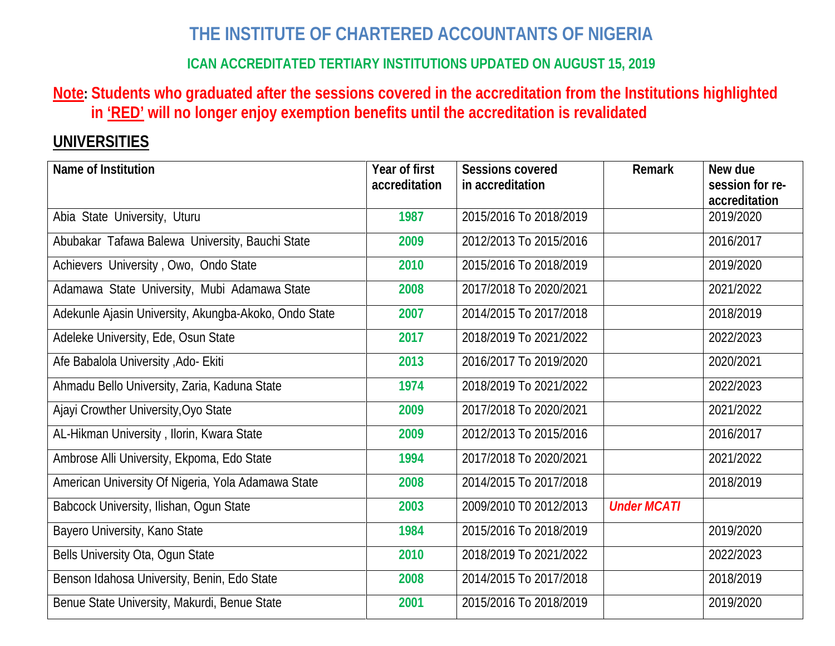# **THE INSTITUTE OF CHARTERED ACCOUNTANTS OF NIGERIA**

## **ICAN ACCREDITATED TERTIARY INSTITUTIONS UPDATED ON AUGUST 15, 2019**

### **Note: Students who graduated after the sessions covered in the accreditation from the Institutions highlighted in 'RED' will no longer enjoy exemption benefits until the accreditation is revalidated**

# **UNIVERSITIES**

| Name of Institution                                   | Year of first<br>accreditation | <b>Sessions covered</b><br>in accreditation | <b>Remark</b>      | New due<br>session for re- |
|-------------------------------------------------------|--------------------------------|---------------------------------------------|--------------------|----------------------------|
|                                                       |                                |                                             |                    | accreditation              |
| Abia State University, Uturu                          | 1987                           | 2015/2016 To 2018/2019                      |                    | 2019/2020                  |
| Abubakar Tafawa Balewa University, Bauchi State       | 2009                           | 2012/2013 To 2015/2016                      |                    | 2016/2017                  |
| Achievers University, Owo, Ondo State                 | 2010                           | 2015/2016 To 2018/2019                      |                    | 2019/2020                  |
| Adamawa State University, Mubi Adamawa State          | 2008                           | 2017/2018 To 2020/2021                      |                    | 2021/2022                  |
| Adekunle Ajasin University, Akungba-Akoko, Ondo State | 2007                           | 2014/2015 To 2017/2018                      |                    | 2018/2019                  |
| Adeleke University, Ede, Osun State                   | 2017                           | 2018/2019 To 2021/2022                      |                    | 2022/2023                  |
| Afe Babalola University , Ado- Ekiti                  | 2013                           | 2016/2017 To 2019/2020                      |                    | 2020/2021                  |
| Ahmadu Bello University, Zaria, Kaduna State          | 1974                           | 2018/2019 To 2021/2022                      |                    | 2022/2023                  |
| Ajayi Crowther University, Oyo State                  | 2009                           | 2017/2018 To 2020/2021                      |                    | 2021/2022                  |
| AL-Hikman University, Ilorin, Kwara State             | 2009                           | 2012/2013 To 2015/2016                      |                    | 2016/2017                  |
| Ambrose Alli University, Ekpoma, Edo State            | 1994                           | 2017/2018 To 2020/2021                      |                    | 2021/2022                  |
| American University Of Nigeria, Yola Adamawa State    | 2008                           | 2014/2015 To 2017/2018                      |                    | 2018/2019                  |
| Babcock University, Ilishan, Ogun State               | 2003                           | 2009/2010 T0 2012/2013                      | <b>Under MCATI</b> |                            |
| Bayero University, Kano State                         | 1984                           | 2015/2016 To 2018/2019                      |                    | 2019/2020                  |
| Bells University Ota, Ogun State                      | 2010                           | 2018/2019 To 2021/2022                      |                    | 2022/2023                  |
| Benson Idahosa University, Benin, Edo State           | 2008                           | 2014/2015 To 2017/2018                      |                    | 2018/2019                  |
| Benue State University, Makurdi, Benue State          | 2001                           | 2015/2016 To 2018/2019                      |                    | 2019/2020                  |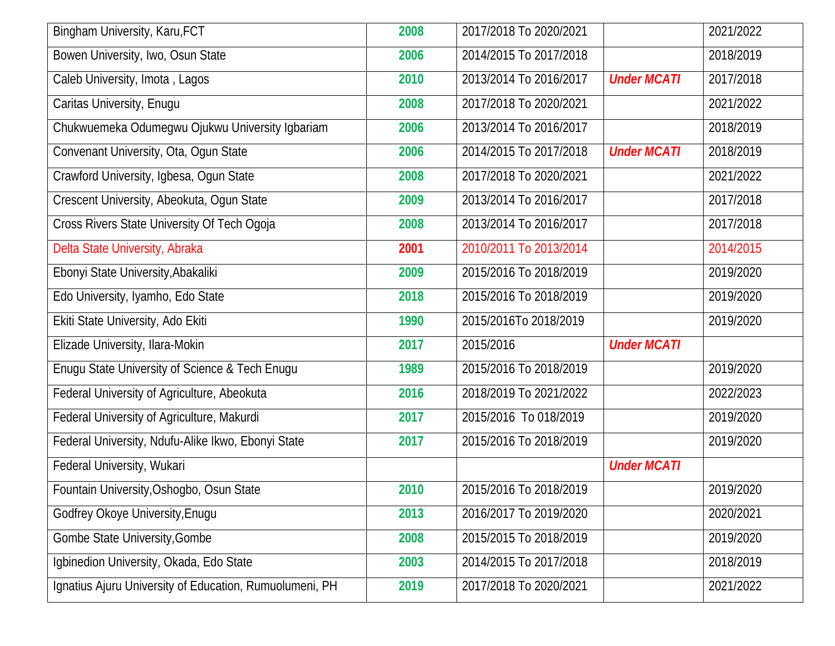| Bingham University, Karu, FCT                           | 2008 | 2017/2018 To 2020/2021 |                    | 2021/2022 |
|---------------------------------------------------------|------|------------------------|--------------------|-----------|
| Bowen University, Iwo, Osun State                       | 2006 | 2014/2015 To 2017/2018 |                    | 2018/2019 |
| Caleb University, Imota, Lagos                          | 2010 | 2013/2014 To 2016/2017 | <b>Under MCATI</b> | 2017/2018 |
| Caritas University, Enugu                               | 2008 | 2017/2018 To 2020/2021 |                    | 2021/2022 |
| Chukwuemeka Odumegwu Ojukwu University Igbariam         | 2006 | 2013/2014 To 2016/2017 |                    | 2018/2019 |
| Convenant University, Ota, Ogun State                   | 2006 | 2014/2015 To 2017/2018 | <b>Under MCATI</b> | 2018/2019 |
| Crawford University, Igbesa, Ogun State                 | 2008 | 2017/2018 To 2020/2021 |                    | 2021/2022 |
| Crescent University, Abeokuta, Ogun State               | 2009 | 2013/2014 To 2016/2017 |                    | 2017/2018 |
| Cross Rivers State University Of Tech Ogoja             | 2008 | 2013/2014 To 2016/2017 |                    | 2017/2018 |
| Delta State University, Abraka                          | 2001 | 2010/2011 To 2013/2014 |                    | 2014/2015 |
| Ebonyi State University, Abakaliki                      | 2009 | 2015/2016 To 2018/2019 |                    | 2019/2020 |
| Edo University, Iyamho, Edo State                       | 2018 | 2015/2016 To 2018/2019 |                    | 2019/2020 |
| Ekiti State University, Ado Ekiti                       | 1990 | 2015/2016To 2018/2019  |                    | 2019/2020 |
| Elizade University, Ilara-Mokin                         | 2017 | 2015/2016              | <b>Under MCATI</b> |           |
| Enugu State University of Science & Tech Enugu          | 1989 | 2015/2016 To 2018/2019 |                    | 2019/2020 |
| Federal University of Agriculture, Abeokuta             | 2016 | 2018/2019 To 2021/2022 |                    | 2022/2023 |
| Federal University of Agriculture, Makurdi              | 2017 | 2015/2016 To 018/2019  |                    | 2019/2020 |
| Federal University, Ndufu-Alike Ikwo, Ebonyi State      | 2017 | 2015/2016 To 2018/2019 |                    | 2019/2020 |
| Federal University, Wukari                              |      |                        | <b>Under MCATI</b> |           |
| Fountain University, Oshogbo, Osun State                | 2010 | 2015/2016 To 2018/2019 |                    | 2019/2020 |
| Godfrey Okoye University, Enugu                         | 2013 | 2016/2017 To 2019/2020 |                    | 2020/2021 |
| Gombe State University, Gombe                           | 2008 | 2015/2015 To 2018/2019 |                    | 2019/2020 |
| Igbinedion University, Okada, Edo State                 | 2003 | 2014/2015 To 2017/2018 |                    | 2018/2019 |
| Ignatius Ajuru University of Education, Rumuolumeni, PH | 2019 | 2017/2018 To 2020/2021 |                    | 2021/2022 |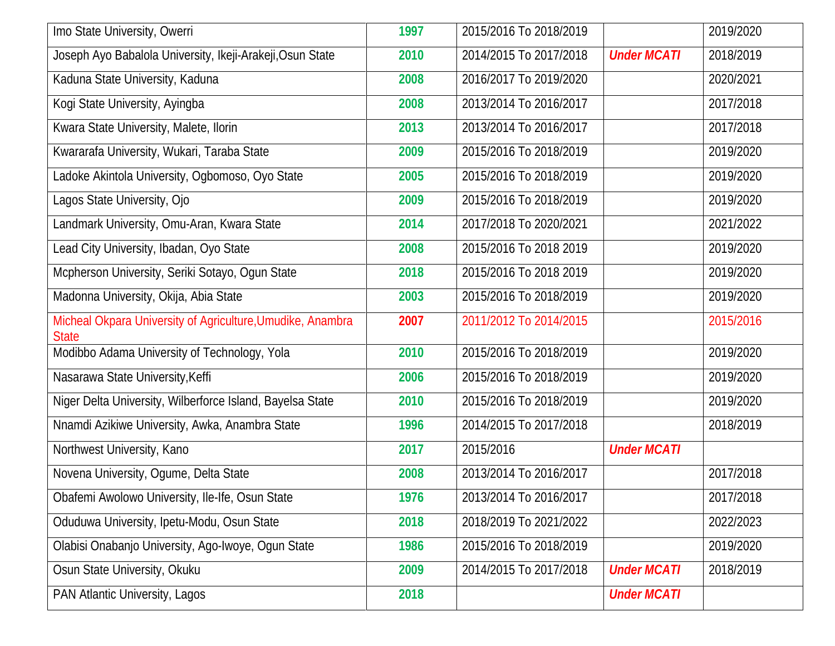| Imo State University, Owerri                                               | 1997 | 2015/2016 To 2018/2019 |                    | 2019/2020 |
|----------------------------------------------------------------------------|------|------------------------|--------------------|-----------|
| Joseph Ayo Babalola University, Ikeji-Arakeji, Osun State                  | 2010 | 2014/2015 To 2017/2018 | <b>Under MCATI</b> | 2018/2019 |
| Kaduna State University, Kaduna                                            | 2008 | 2016/2017 To 2019/2020 |                    | 2020/2021 |
| Kogi State University, Ayingba                                             | 2008 | 2013/2014 To 2016/2017 |                    | 2017/2018 |
| Kwara State University, Malete, Ilorin                                     | 2013 | 2013/2014 To 2016/2017 |                    | 2017/2018 |
| Kwararafa University, Wukari, Taraba State                                 | 2009 | 2015/2016 To 2018/2019 |                    | 2019/2020 |
| Ladoke Akintola University, Ogbomoso, Oyo State                            | 2005 | 2015/2016 To 2018/2019 |                    | 2019/2020 |
| Lagos State University, Ojo                                                | 2009 | 2015/2016 To 2018/2019 |                    | 2019/2020 |
| Landmark University, Omu-Aran, Kwara State                                 | 2014 | 2017/2018 To 2020/2021 |                    | 2021/2022 |
| Lead City University, Ibadan, Oyo State                                    | 2008 | 2015/2016 To 2018 2019 |                    | 2019/2020 |
| Mcpherson University, Seriki Sotayo, Ogun State                            | 2018 | 2015/2016 To 2018 2019 |                    | 2019/2020 |
| Madonna University, Okija, Abia State                                      | 2003 | 2015/2016 To 2018/2019 |                    | 2019/2020 |
| Micheal Okpara University of Agriculture, Umudike, Anambra<br><b>State</b> | 2007 | 2011/2012 To 2014/2015 |                    | 2015/2016 |
| Modibbo Adama University of Technology, Yola                               | 2010 | 2015/2016 To 2018/2019 |                    | 2019/2020 |
| Nasarawa State University, Keffi                                           | 2006 | 2015/2016 To 2018/2019 |                    | 2019/2020 |
| Niger Delta University, Wilberforce Island, Bayelsa State                  | 2010 | 2015/2016 To 2018/2019 |                    | 2019/2020 |
| Nnamdi Azikiwe University, Awka, Anambra State                             | 1996 | 2014/2015 To 2017/2018 |                    | 2018/2019 |
| Northwest University, Kano                                                 | 2017 | 2015/2016              | <b>Under MCATI</b> |           |
| Novena University, Ogume, Delta State                                      | 2008 | 2013/2014 To 2016/2017 |                    | 2017/2018 |
| Obafemi Awolowo University, Ile-Ife, Osun State                            | 1976 | 2013/2014 To 2016/2017 |                    | 2017/2018 |
| Oduduwa University, Ipetu-Modu, Osun State                                 | 2018 | 2018/2019 To 2021/2022 |                    | 2022/2023 |
| Olabisi Onabanjo University, Ago-Iwoye, Ogun State                         | 1986 | 2015/2016 To 2018/2019 |                    | 2019/2020 |
| Osun State University, Okuku                                               | 2009 | 2014/2015 To 2017/2018 | <b>Under MCATI</b> | 2018/2019 |
| PAN Atlantic University, Lagos                                             | 2018 |                        | <b>Under MCATI</b> |           |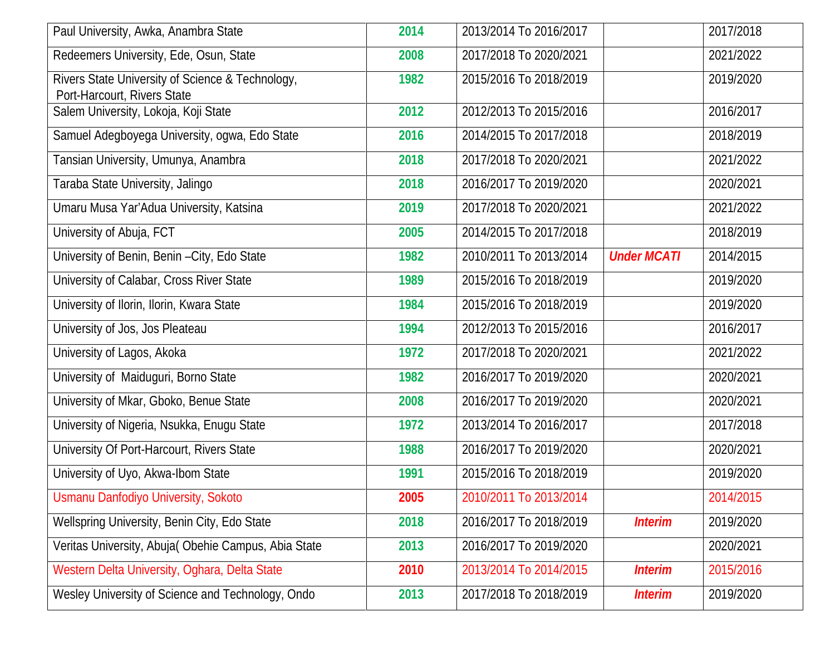| Paul University, Awka, Anambra State                                            | 2014 | 2013/2014 To 2016/2017 |                    | 2017/2018 |
|---------------------------------------------------------------------------------|------|------------------------|--------------------|-----------|
| Redeemers University, Ede, Osun, State                                          | 2008 | 2017/2018 To 2020/2021 |                    | 2021/2022 |
| Rivers State University of Science & Technology,<br>Port-Harcourt, Rivers State | 1982 | 2015/2016 To 2018/2019 |                    | 2019/2020 |
| Salem University, Lokoja, Koji State                                            | 2012 | 2012/2013 To 2015/2016 |                    | 2016/2017 |
| Samuel Adegboyega University, ogwa, Edo State                                   | 2016 | 2014/2015 To 2017/2018 |                    | 2018/2019 |
| Tansian University, Umunya, Anambra                                             | 2018 | 2017/2018 To 2020/2021 |                    | 2021/2022 |
| Taraba State University, Jalingo                                                | 2018 | 2016/2017 To 2019/2020 |                    | 2020/2021 |
| Umaru Musa Yar'Adua University, Katsina                                         | 2019 | 2017/2018 To 2020/2021 |                    | 2021/2022 |
| University of Abuja, FCT                                                        | 2005 | 2014/2015 To 2017/2018 |                    | 2018/2019 |
| University of Benin, Benin - City, Edo State                                    | 1982 | 2010/2011 To 2013/2014 | <b>Under MCATI</b> | 2014/2015 |
| University of Calabar, Cross River State                                        | 1989 | 2015/2016 To 2018/2019 |                    | 2019/2020 |
| University of Ilorin, Ilorin, Kwara State                                       | 1984 | 2015/2016 To 2018/2019 |                    | 2019/2020 |
| University of Jos, Jos Pleateau                                                 | 1994 | 2012/2013 To 2015/2016 |                    | 2016/2017 |
| University of Lagos, Akoka                                                      | 1972 | 2017/2018 To 2020/2021 |                    | 2021/2022 |
| University of Maiduguri, Borno State                                            | 1982 | 2016/2017 To 2019/2020 |                    | 2020/2021 |
| University of Mkar, Gboko, Benue State                                          | 2008 | 2016/2017 To 2019/2020 |                    | 2020/2021 |
| University of Nigeria, Nsukka, Enugu State                                      | 1972 | 2013/2014 To 2016/2017 |                    | 2017/2018 |
| University Of Port-Harcourt, Rivers State                                       | 1988 | 2016/2017 To 2019/2020 |                    | 2020/2021 |
| University of Uyo, Akwa-Ibom State                                              | 1991 | 2015/2016 To 2018/2019 |                    | 2019/2020 |
| Usmanu Danfodiyo University, Sokoto                                             | 2005 | 2010/2011 To 2013/2014 |                    | 2014/2015 |
| Wellspring University, Benin City, Edo State                                    | 2018 | 2016/2017 To 2018/2019 | <b>Interim</b>     | 2019/2020 |
| Veritas University, Abuja(Obehie Campus, Abia State                             | 2013 | 2016/2017 To 2019/2020 |                    | 2020/2021 |
| Western Delta University, Oghara, Delta State                                   | 2010 | 2013/2014 To 2014/2015 | <b>Interim</b>     | 2015/2016 |
| Wesley University of Science and Technology, Ondo                               | 2013 | 2017/2018 To 2018/2019 | <b>Interim</b>     | 2019/2020 |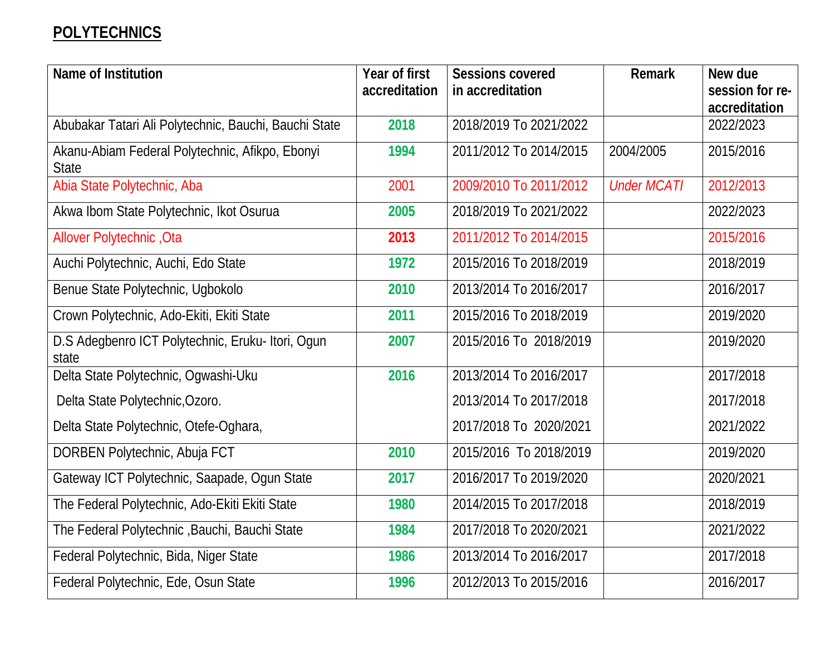# **POLYTECHNICS**

| Name of Institution                                             | Year of first<br>accreditation | <b>Sessions covered</b><br>in accreditation | <b>Remark</b>      | New due<br>session for re- |
|-----------------------------------------------------------------|--------------------------------|---------------------------------------------|--------------------|----------------------------|
|                                                                 |                                |                                             |                    | accreditation              |
| Abubakar Tatari Ali Polytechnic, Bauchi, Bauchi State           | 2018                           | 2018/2019 To 2021/2022                      |                    | 2022/2023                  |
| Akanu-Abiam Federal Polytechnic, Afikpo, Ebonyi<br><b>State</b> | 1994                           | 2011/2012 To 2014/2015                      | 2004/2005          | 2015/2016                  |
| Abia State Polytechnic, Aba                                     | 2001                           | 2009/2010 To 2011/2012                      | <b>Under MCATI</b> | 2012/2013                  |
| Akwa Ibom State Polytechnic, Ikot Osurua                        | 2005                           | 2018/2019 To 2021/2022                      |                    | 2022/2023                  |
| Allover Polytechnic, Ota                                        | 2013                           | 2011/2012 To 2014/2015                      |                    | 2015/2016                  |
| Auchi Polytechnic, Auchi, Edo State                             | 1972                           | 2015/2016 To 2018/2019                      |                    | 2018/2019                  |
| Benue State Polytechnic, Ugbokolo                               | 2010                           | 2013/2014 To 2016/2017                      |                    | 2016/2017                  |
| Crown Polytechnic, Ado-Ekiti, Ekiti State                       | 2011                           | 2015/2016 To 2018/2019                      |                    | 2019/2020                  |
| D.S Adegbenro ICT Polytechnic, Eruku-Itori, Ogun<br>state       | 2007                           | 2015/2016 To 2018/2019                      |                    | 2019/2020                  |
| Delta State Polytechnic, Ogwashi-Uku                            | 2016                           | 2013/2014 To 2016/2017                      |                    | 2017/2018                  |
| Delta State Polytechnic, Ozoro.                                 |                                | 2013/2014 To 2017/2018                      |                    | 2017/2018                  |
| Delta State Polytechnic, Otefe-Oghara,                          |                                | 2017/2018 To 2020/2021                      |                    | 2021/2022                  |
| DORBEN Polytechnic, Abuja FCT                                   | 2010                           | 2015/2016 To 2018/2019                      |                    | 2019/2020                  |
| Gateway ICT Polytechnic, Saapade, Ogun State                    | 2017                           | 2016/2017 To 2019/2020                      |                    | 2020/2021                  |
| The Federal Polytechnic, Ado-Ekiti Ekiti State                  | 1980                           | 2014/2015 To 2017/2018                      |                    | 2018/2019                  |
| The Federal Polytechnic , Bauchi, Bauchi State                  | 1984                           | 2017/2018 To 2020/2021                      |                    | 2021/2022                  |
| Federal Polytechnic, Bida, Niger State                          | 1986                           | 2013/2014 To 2016/2017                      |                    | 2017/2018                  |
| Federal Polytechnic, Ede, Osun State                            | 1996                           | 2012/2013 To 2015/2016                      |                    | 2016/2017                  |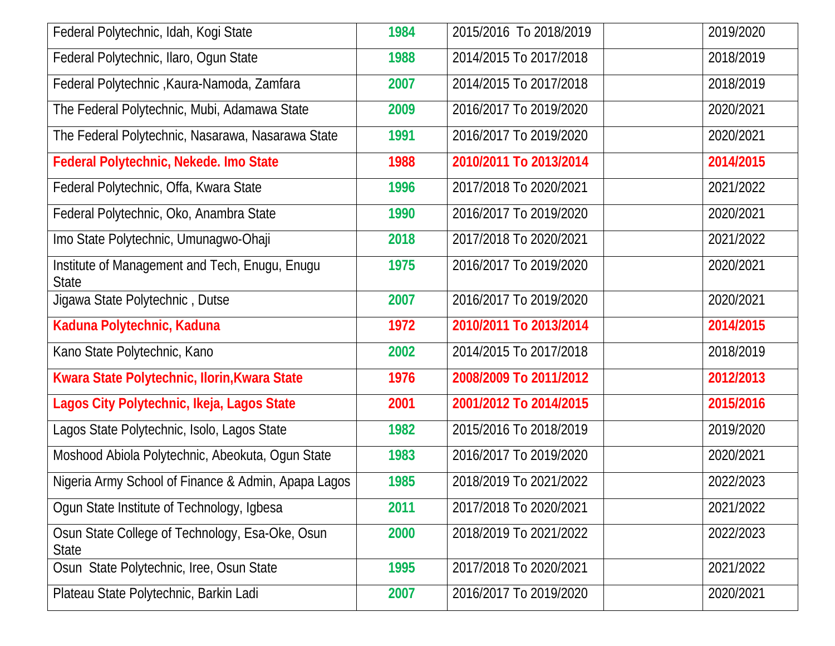| Federal Polytechnic, Idah, Kogi State                           | 1984 | 2015/2016 To 2018/2019 | 2019/2020 |
|-----------------------------------------------------------------|------|------------------------|-----------|
| Federal Polytechnic, Ilaro, Ogun State                          | 1988 | 2014/2015 To 2017/2018 | 2018/2019 |
| Federal Polytechnic, Kaura-Namoda, Zamfara                      | 2007 | 2014/2015 To 2017/2018 | 2018/2019 |
| The Federal Polytechnic, Mubi, Adamawa State                    | 2009 | 2016/2017 To 2019/2020 | 2020/2021 |
| The Federal Polytechnic, Nasarawa, Nasarawa State               | 1991 | 2016/2017 To 2019/2020 | 2020/2021 |
| Federal Polytechnic, Nekede. Imo State                          | 1988 | 2010/2011 To 2013/2014 | 2014/2015 |
| Federal Polytechnic, Offa, Kwara State                          | 1996 | 2017/2018 To 2020/2021 | 2021/2022 |
| Federal Polytechnic, Oko, Anambra State                         | 1990 | 2016/2017 To 2019/2020 | 2020/2021 |
| Imo State Polytechnic, Umunagwo-Ohaji                           | 2018 | 2017/2018 To 2020/2021 | 2021/2022 |
| Institute of Management and Tech, Enugu, Enugu<br><b>State</b>  | 1975 | 2016/2017 To 2019/2020 | 2020/2021 |
| Jigawa State Polytechnic, Dutse                                 | 2007 | 2016/2017 To 2019/2020 | 2020/2021 |
| Kaduna Polytechnic, Kaduna                                      | 1972 | 2010/2011 To 2013/2014 | 2014/2015 |
| Kano State Polytechnic, Kano                                    | 2002 | 2014/2015 To 2017/2018 | 2018/2019 |
| Kwara State Polytechnic, Ilorin, Kwara State                    | 1976 | 2008/2009 To 2011/2012 | 2012/2013 |
| Lagos City Polytechnic, Ikeja, Lagos State                      | 2001 | 2001/2012 To 2014/2015 | 2015/2016 |
| Lagos State Polytechnic, Isolo, Lagos State                     | 1982 | 2015/2016 To 2018/2019 | 2019/2020 |
| Moshood Abiola Polytechnic, Abeokuta, Ogun State                | 1983 | 2016/2017 To 2019/2020 | 2020/2021 |
| Nigeria Army School of Finance & Admin, Apapa Lagos             | 1985 | 2018/2019 To 2021/2022 | 2022/2023 |
| Ogun State Institute of Technology, Igbesa                      | 2011 | 2017/2018 To 2020/2021 | 2021/2022 |
| Osun State College of Technology, Esa-Oke, Osun<br><b>State</b> | 2000 | 2018/2019 To 2021/2022 | 2022/2023 |
| Osun State Polytechnic, Iree, Osun State                        | 1995 | 2017/2018 To 2020/2021 | 2021/2022 |
| Plateau State Polytechnic, Barkin Ladi                          | 2007 | 2016/2017 To 2019/2020 | 2020/2021 |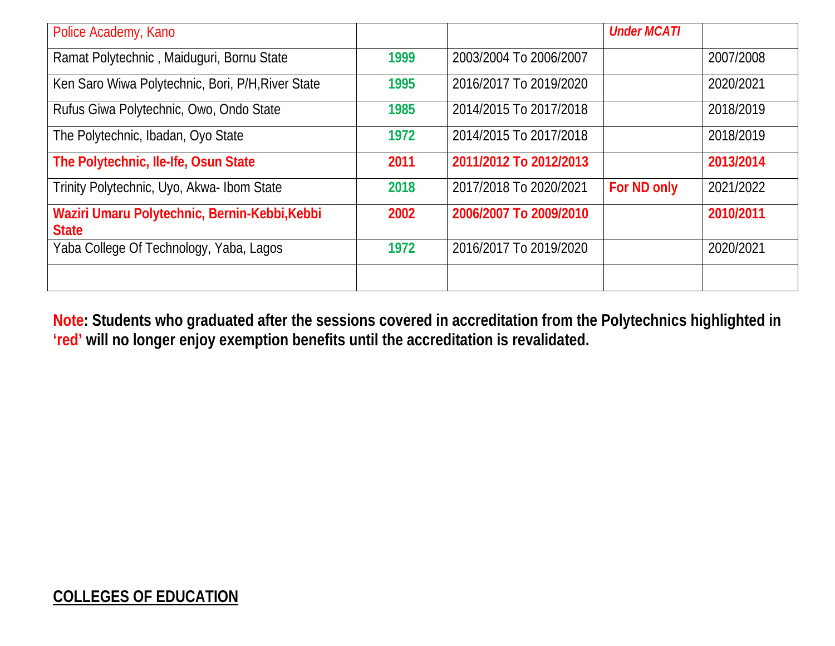| Police Academy, Kano                                          |      |                        | <b>Under MCATI</b> |           |
|---------------------------------------------------------------|------|------------------------|--------------------|-----------|
| Ramat Polytechnic, Maiduguri, Bornu State                     | 1999 | 2003/2004 To 2006/2007 |                    | 2007/2008 |
| Ken Saro Wiwa Polytechnic, Bori, P/H, River State             | 1995 | 2016/2017 To 2019/2020 |                    | 2020/2021 |
| Rufus Giwa Polytechnic, Owo, Ondo State                       | 1985 | 2014/2015 To 2017/2018 |                    | 2018/2019 |
| The Polytechnic, Ibadan, Oyo State                            | 1972 | 2014/2015 To 2017/2018 |                    | 2018/2019 |
| The Polytechnic, Ile-Ife, Osun State                          | 2011 | 2011/2012 To 2012/2013 |                    | 2013/2014 |
| Trinity Polytechnic, Uyo, Akwa- Ibom State                    | 2018 | 2017/2018 To 2020/2021 | For ND only        | 2021/2022 |
| Waziri Umaru Polytechnic, Bernin-Kebbi, Kebbi<br><b>State</b> | 2002 | 2006/2007 To 2009/2010 |                    | 2010/2011 |
| Yaba College Of Technology, Yaba, Lagos                       | 1972 | 2016/2017 To 2019/2020 |                    | 2020/2021 |
|                                                               |      |                        |                    |           |

**Note: Students who graduated after the sessions covered in accreditation from the Polytechnics highlighted in 'red' will no longer enjoy exemption benefits until the accreditation is revalidated.**

#### **COLLEGES OF EDUCATION**